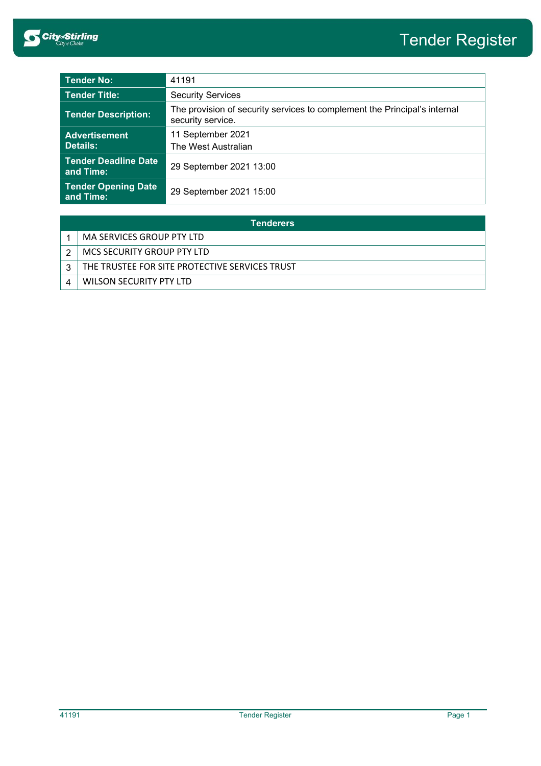| <b>Tender No:</b>                        | 41191                                                                                          |  |
|------------------------------------------|------------------------------------------------------------------------------------------------|--|
| <b>Tender Title:</b>                     | <b>Security Services</b>                                                                       |  |
| <b>Tender Description:</b>               | The provision of security services to complement the Principal's internal<br>security service. |  |
| <b>Advertisement</b><br><b>Details:</b>  | 11 September 2021<br>The West Australian                                                       |  |
| <b>Tender Deadline Date</b><br>and Time: | 29 September 2021 13:00                                                                        |  |
| <b>Tender Opening Date</b><br>and Time:  | 29 September 2021 15:00                                                                        |  |

| <b>Tenderers</b> |                                                |  |
|------------------|------------------------------------------------|--|
|                  | MA SERVICES GROUP PTY LTD                      |  |
|                  | MCS SECURITY GROUP PTY LTD                     |  |
| 2                | THE TRUSTEE FOR SITE PROTECTIVE SERVICES TRUST |  |
|                  | WILSON SECURITY PTY LTD                        |  |